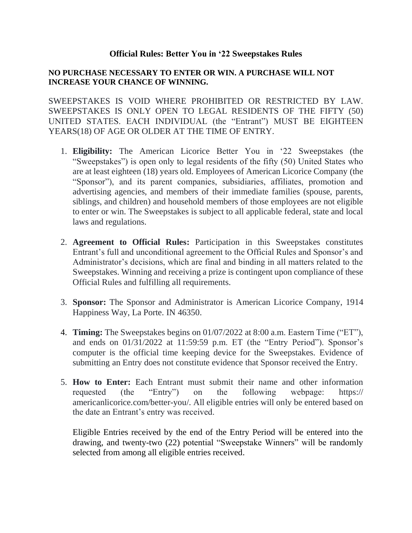## **Official Rules: Better You in '22 Sweepstakes Rules**

## **NO PURCHASE NECESSARY TO ENTER OR WIN. A PURCHASE WILL NOT INCREASE YOUR CHANCE OF WINNING.**

SWEEPSTAKES IS VOID WHERE PROHIBITED OR RESTRICTED BY LAW. SWEEPSTAKES IS ONLY OPEN TO LEGAL RESIDENTS OF THE FIFTY (50) UNITED STATES. EACH INDIVIDUAL (the "Entrant") MUST BE EIGHTEEN YEARS(18) OF AGE OR OLDER AT THE TIME OF ENTRY.

- 1. **Eligibility:** The American Licorice Better You in '22 Sweepstakes (the "Sweepstakes") is open only to legal residents of the fifty (50) United States who are at least eighteen (18) years old. Employees of American Licorice Company (the "Sponsor"), and its parent companies, subsidiaries, affiliates, promotion and advertising agencies, and members of their immediate families (spouse, parents, siblings, and children) and household members of those employees are not eligible to enter or win. The Sweepstakes is subject to all applicable federal, state and local laws and regulations.
- 2. **Agreement to Official Rules:** Participation in this Sweepstakes constitutes Entrant's full and unconditional agreement to the Official Rules and Sponsor's and Administrator's decisions, which are final and binding in all matters related to the Sweepstakes. Winning and receiving a prize is contingent upon compliance of these Official Rules and fulfilling all requirements.
- 3. **Sponsor:** The Sponsor and Administrator is American Licorice Company, 1914 Happiness Way, La Porte. IN 46350.
- 4. **Timing:** The Sweepstakes begins on 01/07/2022 at 8:00 a.m. Eastern Time ("ET"), and ends on 01/31/2022 at 11:59:59 p.m. ET (the "Entry Period"). Sponsor's computer is the official time keeping device for the Sweepstakes. Evidence of submitting an Entry does not constitute evidence that Sponsor received the Entry.
- 5. **How to Enter:** Each Entrant must submit their name and other information requested (the "Entry") on the following webpage: https:// americanlicorice.com/better-you/. All eligible entries will only be entered based on the date an Entrant's entry was received.

Eligible Entries received by the end of the Entry Period will be entered into the drawing, and twenty-two (22) potential "Sweepstake Winners" will be randomly selected from among all eligible entries received.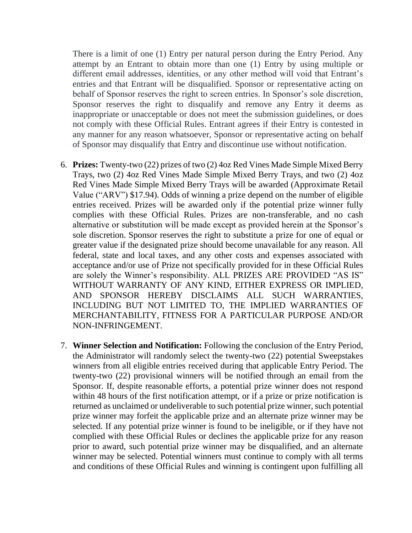There is a limit of one (1) Entry per natural person during the Entry Period. Any attempt by an Entrant to obtain more than one (1) Entry by using multiple or different email addresses, identities, or any other method will void that Entrant's entries and that Entrant will be disqualified. Sponsor or representative acting on behalf of Sponsor reserves the right to screen entries. In Sponsor's sole discretion, Sponsor reserves the right to disqualify and remove any Entry it deems as inappropriate or unacceptable or does not meet the submission guidelines, or does not comply with these Official Rules. Entrant agrees if their Entry is contested in any manner for any reason whatsoever, Sponsor or representative acting on behalf of Sponsor may disqualify that Entry and discontinue use without notification.

- 6. **Prizes:** Twenty-two (22) prizes of two (2) 4oz Red Vines Made Simple Mixed Berry Trays, two (2) 4oz Red Vines Made Simple Mixed Berry Trays, and two (2) 4oz Red Vines Made Simple Mixed Berry Trays will be awarded (Approximate Retail Value ("ARV") \$17.94). Odds of winning a prize depend on the number of eligible entries received. Prizes will be awarded only if the potential prize winner fully complies with these Official Rules. Prizes are non-transferable, and no cash alternative or substitution will be made except as provided herein at the Sponsor's sole discretion. Sponsor reserves the right to substitute a prize for one of equal or greater value if the designated prize should become unavailable for any reason. All federal, state and local taxes, and any other costs and expenses associated with acceptance and/or use of Prize not specifically provided for in these Official Rules are solely the Winner's responsibility. ALL PRIZES ARE PROVIDED "AS IS" WITHOUT WARRANTY OF ANY KIND, EITHER EXPRESS OR IMPLIED, AND SPONSOR HEREBY DISCLAIMS ALL SUCH WARRANTIES, INCLUDING BUT NOT LIMITED TO, THE IMPLIED WARRANTIES OF MERCHANTABILITY, FITNESS FOR A PARTICULAR PURPOSE AND/OR NON-INFRINGEMENT.
- 7. **Winner Selection and Notification:** Following the conclusion of the Entry Period, the Administrator will randomly select the twenty-two (22) potential Sweepstakes winners from all eligible entries received during that applicable Entry Period. The twenty-two (22) provisional winners will be notified through an email from the Sponsor. If, despite reasonable efforts, a potential prize winner does not respond within 48 hours of the first notification attempt, or if a prize or prize notification is returned as unclaimed or undeliverable to such potential prize winner, such potential prize winner may forfeit the applicable prize and an alternate prize winner may be selected. If any potential prize winner is found to be ineligible, or if they have not complied with these Official Rules or declines the applicable prize for any reason prior to award, such potential prize winner may be disqualified, and an alternate winner may be selected. Potential winners must continue to comply with all terms and conditions of these Official Rules and winning is contingent upon fulfilling all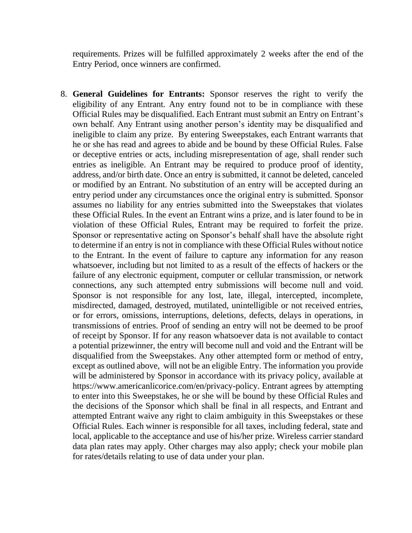requirements. Prizes will be fulfilled approximately 2 weeks after the end of the Entry Period, once winners are confirmed.

8. **General Guidelines for Entrants:** Sponsor reserves the right to verify the eligibility of any Entrant. Any entry found not to be in compliance with these Official Rules may be disqualified. Each Entrant must submit an Entry on Entrant's own behalf. Any Entrant using another person's identity may be disqualified and ineligible to claim any prize. By entering Sweepstakes, each Entrant warrants that he or she has read and agrees to abide and be bound by these Official Rules. False or deceptive entries or acts, including misrepresentation of age, shall render such entries as ineligible. An Entrant may be required to produce proof of identity, address, and/or birth date. Once an entry is submitted, it cannot be deleted, canceled or modified by an Entrant. No substitution of an entry will be accepted during an entry period under any circumstances once the original entry is submitted. Sponsor assumes no liability for any entries submitted into the Sweepstakes that violates these Official Rules. In the event an Entrant wins a prize, and is later found to be in violation of these Official Rules, Entrant may be required to forfeit the prize. Sponsor or representative acting on Sponsor's behalf shall have the absolute right to determine if an entry is not in compliance with these Official Rules without notice to the Entrant. In the event of failure to capture any information for any reason whatsoever, including but not limited to as a result of the effects of hackers or the failure of any electronic equipment, computer or cellular transmission, or network connections, any such attempted entry submissions will become null and void. Sponsor is not responsible for any lost, late, illegal, intercepted, incomplete, misdirected, damaged, destroyed, mutilated, unintelligible or not received entries, or for errors, omissions, interruptions, deletions, defects, delays in operations, in transmissions of entries. Proof of sending an entry will not be deemed to be proof of receipt by Sponsor. If for any reason whatsoever data is not available to contact a potential prizewinner, the entry will become null and void and the Entrant will be disqualified from the Sweepstakes. Any other attempted form or method of entry, except as outlined above, will not be an eligible Entry. The information you provide will be administered by Sponsor in accordance with its privacy policy, available at https://www.americanlicorice.com/en/privacy-policy. Entrant agrees by attempting to enter into this Sweepstakes, he or she will be bound by these Official Rules and the decisions of the Sponsor which shall be final in all respects, and Entrant and attempted Entrant waive any right to claim ambiguity in this Sweepstakes or these Official Rules. Each winner is responsible for all taxes, including federal, state and local, applicable to the acceptance and use of his/her prize. Wireless carrier standard data plan rates may apply. Other charges may also apply; check your mobile plan for rates/details relating to use of data under your plan.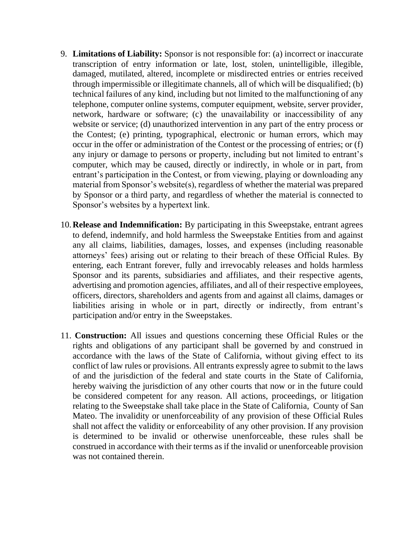- 9. **Limitations of Liability:** Sponsor is not responsible for: (a) incorrect or inaccurate transcription of entry information or late, lost, stolen, unintelligible, illegible, damaged, mutilated, altered, incomplete or misdirected entries or entries received through impermissible or illegitimate channels, all of which will be disqualified; (b) technical failures of any kind, including but not limited to the malfunctioning of any telephone, computer online systems, computer equipment, website, server provider, network, hardware or software; (c) the unavailability or inaccessibility of any website or service; (d) unauthorized intervention in any part of the entry process or the Contest; (e) printing, typographical, electronic or human errors, which may occur in the offer or administration of the Contest or the processing of entries; or (f) any injury or damage to persons or property, including but not limited to entrant's computer, which may be caused, directly or indirectly, in whole or in part, from entrant's participation in the Contest, or from viewing, playing or downloading any material from Sponsor's website(s), regardless of whether the material was prepared by Sponsor or a third party, and regardless of whether the material is connected to Sponsor's websites by a hypertext link.
- 10.**Release and Indemnification:** By participating in this Sweepstake, entrant agrees to defend, indemnify, and hold harmless the Sweepstake Entities from and against any all claims, liabilities, damages, losses, and expenses (including reasonable attorneys' fees) arising out or relating to their breach of these Official Rules. By entering, each Entrant forever, fully and irrevocably releases and holds harmless Sponsor and its parents, subsidiaries and affiliates, and their respective agents, advertising and promotion agencies, affiliates, and all of their respective employees, officers, directors, shareholders and agents from and against all claims, damages or liabilities arising in whole or in part, directly or indirectly, from entrant's participation and/or entry in the Sweepstakes.
- 11. **Construction:** All issues and questions concerning these Official Rules or the rights and obligations of any participant shall be governed by and construed in accordance with the laws of the State of California, without giving effect to its conflict of law rules or provisions. All entrants expressly agree to submit to the laws of and the jurisdiction of the federal and state courts in the State of California, hereby waiving the jurisdiction of any other courts that now or in the future could be considered competent for any reason. All actions, proceedings, or litigation relating to the Sweepstake shall take place in the State of California, County of San Mateo. The invalidity or unenforceability of any provision of these Official Rules shall not affect the validity or enforceability of any other provision. If any provision is determined to be invalid or otherwise unenforceable, these rules shall be construed in accordance with their terms as if the invalid or unenforceable provision was not contained therein.